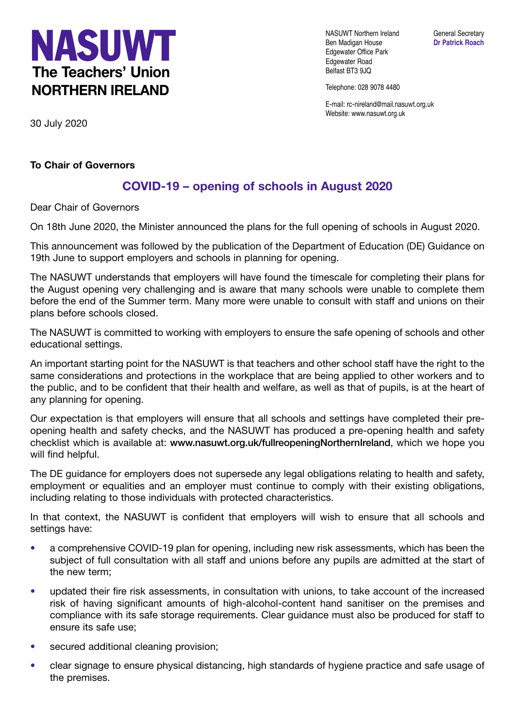

NASUWT Northern Ireland General Secretary Ben Madigan House **Dr Patrick Roach** Edgewater Office Park Edgewater Road Belfast BT3 9JQ

Telephone: 028 9078 4480

E-mail: rc-nireland@mail.nasuwt.org.uk Website: www.nasuwt.org.uk

30 July 2020

## **To Chair of Governors**

## **COVID-19 – opening of schools in August 2020**

Dear Chair of Governors

On 18th June 2020, the Minister announced the plans for the full opening of schools in August 2020.

This announcement was followed by the publication of the Department of Education (DE) Guidance on 19th June to support employers and schools in planning for opening.

The NASUWT understands that employers will have found the timescale for completing their plans for the August opening very challenging and is aware that many schools were unable to complete them before the end of the Summer term. Many more were unable to consult with staff and unions on their plans before schools closed.

The NASUWT is committed to working with employers to ensure the safe opening of schools and other educational settings.

An important starting point for the NASUWT is that teachers and other school staff have the right to the same considerations and protections in the workplace that are being applied to other workers and to the public, and to be confident that their health and welfare, as well as that of pupils, is at the heart of any planning for opening.

Our expectation is that employers will ensure that all schools and settings have completed their preopening health and safety checks, and the NASUWT has produced a pre-opening health and safety checklist which is available at: **www.nasuwt.org.uk/fullreopeningNorthernIreland**, which we hope you will find helpful.

The DE guidance for employers does not supersede any legal obligations relating to health and safety, employment or equalities and an employer must continue to comply with their existing obligations, including relating to those individuals with protected characteristics.

In that context, the NASUWT is confident that employers will wish to ensure that all schools and settings have:

- a comprehensive COVID-19 plan for opening, including new risk assessments, which has been the subject of full consultation with all staff and unions before any pupils are admitted at the start of the new term;
- updated their fire risk assessments, in consultation with unions, to take account of the increased risk of having significant amounts of high-alcohol-content hand sanitiser on the premises and compliance with its safe storage requirements. Clear guidance must also be produced for staff to ensure its safe use;
- secured additional cleaning provision;
- clear signage to ensure physical distancing, high standards of hygiene practice and safe usage of the premises.